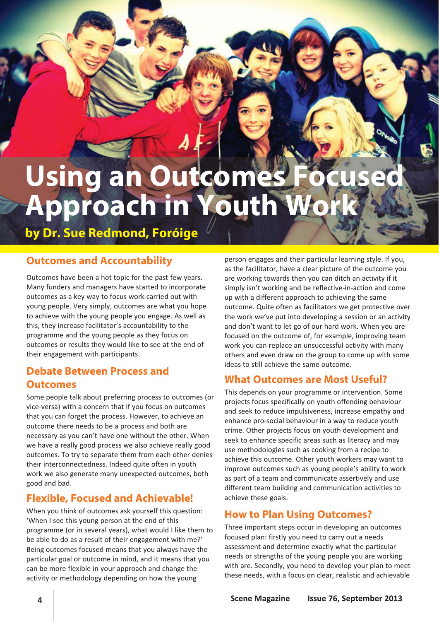# **Using an Outcomes Approach in Youth Wo**

**by Dr. Sue Redmond, Foróige** 

# **Outcomes and Accountability**

Outcomes have been a hot topic for the past few years. Many funders and managers have started to incorporate outcomes as a key way to focus work carried out with young people. Very simply, outcomes are what you hope to achieve with the young people you engage. As well as this, they increase facilitator's accountability to the programme and the young people as they focus on outcomes or results they would like to see at the end of their engagement with participants.

## **Debate Between Process and Outcomes**

Some people talk about preferring process to outcomes (or vice‐versa) with a concern that if you focus on outcomes that you can forget the process. However, to achieve an outcome there needs to be a process and both are necessary as you can't have one without the other. When we have a really good process we also achieve really good outcomes. To try to separate them from each other denies their interconnectedness. Indeed quite often in youth work we also generate many unexpected outcomes, both good and bad.

# **Flexible, Focused and Achievable!**

When you think of outcomes ask yourself this question: 'When I see this young person at the end of this programme (or in several years), what would I like them to be able to do as a result of their engagement with me?' Being outcomes focused means that you always have the particular goal or outcome in mind, and it means that you can be more flexible in your approach and change the activity or methodology depending on how the young

person engages and their particular learning style. If you, as the facilitator, have a clear picture of the outcome you are working towards then you can ditch an activity if it simply isn't working and be reflective-in-action and come up with a different approach to achieving the same outcome. Quite often as facilitators we get protective over the work we've put into developing a session or an activity and don't want to let go of our hard work. When you are focused on the outcome of, for example, improving team work you can replace an unsuccessful activity with many others and even draw on the group to come up with some ideas to still achieve the same outcome.

# **What Outcomes are Most Useful?**

This depends on your programme or intervention. Some projects focus specifically on youth offending behaviour and seek to reduce impulsiveness, increase empathy and enhance pro‐social behaviour in a way to reduce youth crime. Other projects focus on youth development and seek to enhance specific areas such as literacy and may use methodologies such as cooking from a recipe to achieve this outcome. Other youth workers may want to improve outcomes such as young people's ability to work as part of a team and communicate assertively and use different team building and communication activities to achieve these goals.

## **How to Plan Using Outcomes?**

Three important steps occur in developing an outcomes focused plan: firstly you need to carry out a needs assessment and determine exactly what the particular needs or strengths of the young people you are working with are. Secondly, you need to develop your plan to meet these needs, with a focus on clear, realistic and achievable